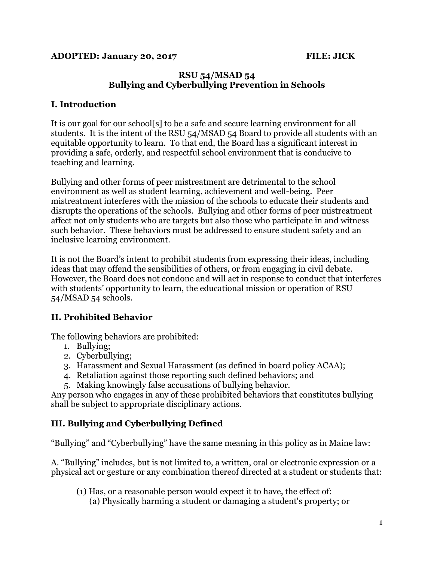#### **RSU 54/MSAD 54 Bullying and Cyberbullying Prevention in Schools**

### **I. Introduction**

It is our goal for our school[s] to be a safe and secure learning environment for all students. It is the intent of the RSU 54/MSAD 54 Board to provide all students with an equitable opportunity to learn. To that end, the Board has a significant interest in providing a safe, orderly, and respectful school environment that is conducive to teaching and learning.

Bullying and other forms of peer mistreatment are detrimental to the school environment as well as student learning, achievement and well-being. Peer mistreatment interferes with the mission of the schools to educate their students and disrupts the operations of the schools. Bullying and other forms of peer mistreatment affect not only students who are targets but also those who participate in and witness such behavior. These behaviors must be addressed to ensure student safety and an inclusive learning environment.

It is not the Board's intent to prohibit students from expressing their ideas, including ideas that may offend the sensibilities of others, or from engaging in civil debate. However, the Board does not condone and will act in response to conduct that interferes with students' opportunity to learn, the educational mission or operation of RSU 54/MSAD 54 schools.

# **II. Prohibited Behavior**

The following behaviors are prohibited:

- 1. Bullying;
- 2. Cyberbullying;
- 3. Harassment and Sexual Harassment (as defined in board policy ACAA);
- 4. Retaliation against those reporting such defined behaviors; and
- 5. Making knowingly false accusations of bullying behavior.

Any person who engages in any of these prohibited behaviors that constitutes bullying shall be subject to appropriate disciplinary actions.

# **III. Bullying and Cyberbullying Defined**

"Bullying" and "Cyberbullying" have the same meaning in this policy as in Maine law:

A. "Bullying" includes, but is not limited to, a written, oral or electronic expression or a physical act or gesture or any combination thereof directed at a student or students that:

(1) Has, or a reasonable person would expect it to have, the effect of: (a) Physically harming a student or damaging a student's property; or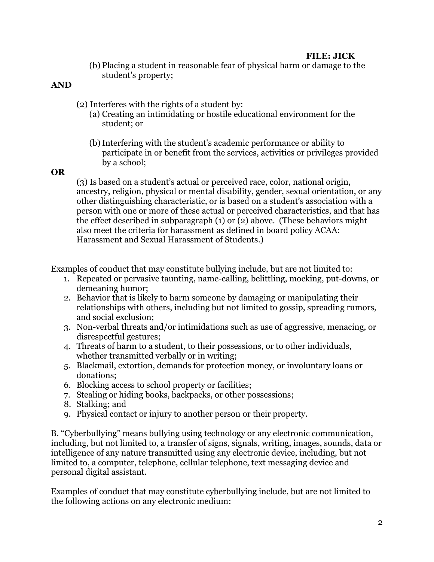(b) Placing a student in reasonable fear of physical harm or damage to the student's property;

#### **AND**

- (2) Interferes with the rights of a student by:
	- (a) Creating an intimidating or hostile educational environment for the student; or
	- (b)Interfering with the student's academic performance or ability to participate in or benefit from the services, activities or privileges provided by a school;

#### **OR**

(3) Is based on a student's actual or perceived race, color, national origin, ancestry, religion, physical or mental disability, gender, sexual orientation, or any other distinguishing characteristic, or is based on a student's association with a person with one or more of these actual or perceived characteristics, and that has the effect described in subparagraph (1) or (2) above. (These behaviors might also meet the criteria for harassment as defined in board policy ACAA: Harassment and Sexual Harassment of Students.)

Examples of conduct that may constitute bullying include, but are not limited to:

- 1. Repeated or pervasive taunting, name-calling, belittling, mocking, put-downs, or demeaning humor;
- 2. Behavior that is likely to harm someone by damaging or manipulating their relationships with others, including but not limited to gossip, spreading rumors, and social exclusion;
- 3. Non-verbal threats and/or intimidations such as use of aggressive, menacing, or disrespectful gestures;
- 4. Threats of harm to a student, to their possessions, or to other individuals, whether transmitted verbally or in writing;
- 5. Blackmail, extortion, demands for protection money, or involuntary loans or donations;
- 6. Blocking access to school property or facilities;
- 7. Stealing or hiding books, backpacks, or other possessions;
- 8. Stalking; and
- 9. Physical contact or injury to another person or their property.

B. "Cyberbullying" means bullying using technology or any electronic communication, including, but not limited to, a transfer of signs, signals, writing, images, sounds, data or intelligence of any nature transmitted using any electronic device, including, but not limited to, a computer, telephone, cellular telephone, text messaging device and personal digital assistant.

Examples of conduct that may constitute cyberbullying include, but are not limited to the following actions on any electronic medium: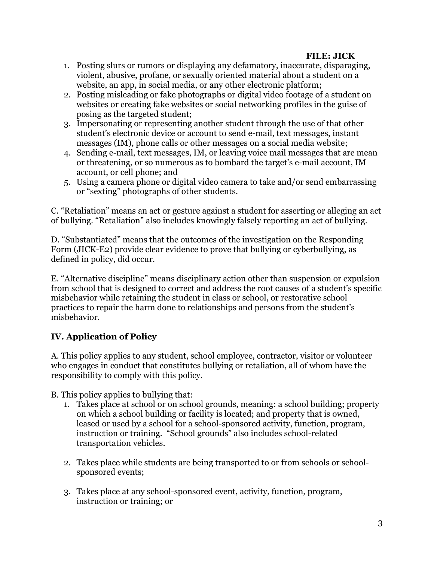- 1. Posting slurs or rumors or displaying any defamatory, inaccurate, disparaging, violent, abusive, profane, or sexually oriented material about a student on a website, an app, in social media, or any other electronic platform;
- 2. Posting misleading or fake photographs or digital video footage of a student on websites or creating fake websites or social networking profiles in the guise of posing as the targeted student;
- 3. Impersonating or representing another student through the use of that other student's electronic device or account to send e-mail, text messages, instant messages (IM), phone calls or other messages on a social media website;
- 4. Sending e-mail, text messages, IM, or leaving voice mail messages that are mean or threatening, or so numerous as to bombard the target's e-mail account, IM account, or cell phone; and
- 5. Using a camera phone or digital video camera to take and/or send embarrassing or "sexting" photographs of other students.

C. "Retaliation" means an act or gesture against a student for asserting or alleging an act of bullying. "Retaliation" also includes knowingly falsely reporting an act of bullying.

D. "Substantiated" means that the outcomes of the investigation on the Responding Form (JICK-E2) provide clear evidence to prove that bullying or cyberbullying, as defined in policy, did occur.

E. "Alternative discipline" means disciplinary action other than suspension or expulsion from school that is designed to correct and address the root causes of a student's specific misbehavior while retaining the student in class or school, or restorative school practices to repair the harm done to relationships and persons from the student's misbehavior.

# **IV. Application of Policy**

A. This policy applies to any student, school employee, contractor, visitor or volunteer who engages in conduct that constitutes bullying or retaliation, all of whom have the responsibility to comply with this policy.

B. This policy applies to bullying that:

- 1. Takes place at school or on school grounds, meaning: a school building; property on which a school building or facility is located; and property that is owned, leased or used by a school for a school-sponsored activity, function, program, instruction or training. "School grounds" also includes school-related transportation vehicles.
- 2. Takes place while students are being transported to or from schools or schoolsponsored events;
- 3. Takes place at any school-sponsored event, activity, function, program, instruction or training; or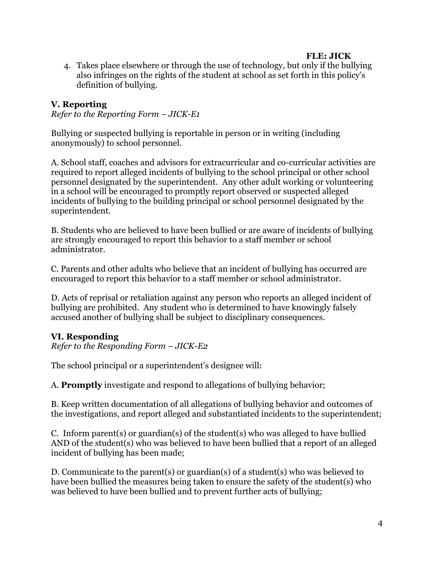4. Takes place elsewhere or through the use of technology, but only if the bullying also infringes on the rights of the student at school as set forth in this policy's definition of bullying.

## **V. Reporting**

*Refer to the Reporting Form – JICK-E1*

Bullying or suspected bullying is reportable in person or in writing (including anonymously) to school personnel.

A. School staff, coaches and advisors for extracurricular and co-curricular activities are required to report alleged incidents of bullying to the school principal or other school personnel designated by the superintendent. Any other adult working or volunteering in a school will be encouraged to promptly report observed or suspected alleged incidents of bullying to the building principal or school personnel designated by the superintendent.

B. Students who are believed to have been bullied or are aware of incidents of bullying are strongly encouraged to report this behavior to a staff member or school administrator.

C. Parents and other adults who believe that an incident of bullying has occurred are encouraged to report this behavior to a staff member or school administrator.

D. Acts of reprisal or retaliation against any person who reports an alleged incident of bullying are prohibited. Any student who is determined to have knowingly falsely accused another of bullying shall be subject to disciplinary consequences.

### **VI. Responding**

*Refer to the Responding Form – JICK-E2*

The school principal or a superintendent's designee will:

A. **Promptly** investigate and respond to allegations of bullying behavior;

B. Keep written documentation of all allegations of bullying behavior and outcomes of the investigations, and report alleged and substantiated incidents to the superintendent;

C. Inform parent(s) or guardian(s) of the student(s) who was alleged to have bullied AND of the student(s) who was believed to have been bullied that a report of an alleged incident of bullying has been made;

D. Communicate to the parent(s) or guardian(s) of a student(s) who was believed to have been bullied the measures being taken to ensure the safety of the student(s) who was believed to have been bullied and to prevent further acts of bullying;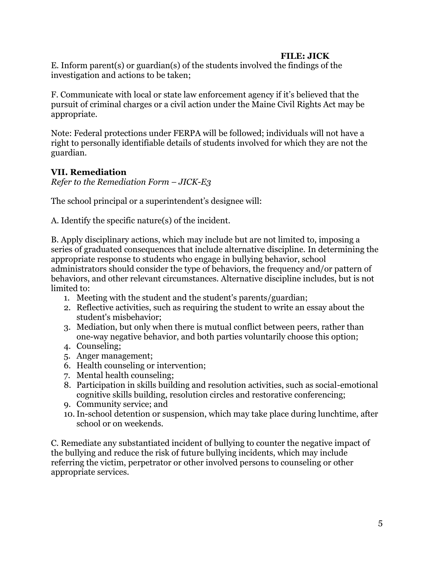E. Inform parent(s) or guardian(s) of the students involved the findings of the investigation and actions to be taken;

F. Communicate with local or state law enforcement agency if it's believed that the pursuit of criminal charges or a civil action under the Maine Civil Rights Act may be appropriate.

Note: Federal protections under FERPA will be followed; individuals will not have a right to personally identifiable details of students involved for which they are not the guardian.

## **VII. Remediation**

*Refer to the Remediation Form – JICK-E3*

The school principal or a superintendent's designee will:

A. Identify the specific nature(s) of the incident.

B. Apply disciplinary actions, which may include but are not limited to, imposing a series of graduated consequences that include alternative discipline. In determining the appropriate response to students who engage in bullying behavior, school administrators should consider the type of behaviors, the frequency and/or pattern of behaviors, and other relevant circumstances. Alternative discipline includes, but is not limited to:

- 1. Meeting with the student and the student's parents/guardian;
- 2. Reflective activities, such as requiring the student to write an essay about the student's misbehavior;
- 3. Mediation, but only when there is mutual conflict between peers, rather than one-way negative behavior, and both parties voluntarily choose this option;
- 4. Counseling;
- 5. Anger management;
- 6. Health counseling or intervention;
- 7. Mental health counseling;
- 8. Participation in skills building and resolution activities, such as social-emotional cognitive skills building, resolution circles and restorative conferencing;
- 9. Community service; and
- 10.In-school detention or suspension, which may take place during lunchtime, after school or on weekends.

C. Remediate any substantiated incident of bullying to counter the negative impact of the bullying and reduce the risk of future bullying incidents, which may include referring the victim, perpetrator or other involved persons to counseling or other appropriate services.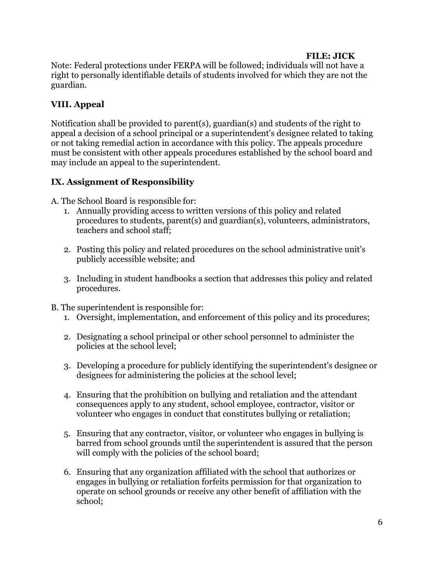Note: Federal protections under FERPA will be followed; individuals will not have a right to personally identifiable details of students involved for which they are not the guardian.

# **VIII. Appeal**

Notification shall be provided to parent(s), guardian(s) and students of the right to appeal a decision of a school principal or a superintendent's designee related to taking or not taking remedial action in accordance with this policy. The appeals procedure must be consistent with other appeals procedures established by the school board and may include an appeal to the superintendent.

## **IX. Assignment of Responsibility**

A. The School Board is responsible for:

- 1. Annually providing access to written versions of this policy and related procedures to students, parent(s) and guardian(s), volunteers, administrators, teachers and school staff;
- 2. Posting this policy and related procedures on the school administrative unit's publicly accessible website; and
- 3. Including in student handbooks a section that addresses this policy and related procedures.
- B. The superintendent is responsible for:
	- 1. Oversight, implementation, and enforcement of this policy and its procedures;
	- 2. Designating a school principal or other school personnel to administer the policies at the school level;
	- 3. Developing a procedure for publicly identifying the superintendent's designee or designees for administering the policies at the school level;
	- 4. Ensuring that the prohibition on bullying and retaliation and the attendant consequences apply to any student, school employee, contractor, visitor or volunteer who engages in conduct that constitutes bullying or retaliation;
	- 5. Ensuring that any contractor, visitor, or volunteer who engages in bullying is barred from school grounds until the superintendent is assured that the person will comply with the policies of the school board;
	- 6. Ensuring that any organization affiliated with the school that authorizes or engages in bullying or retaliation forfeits permission for that organization to operate on school grounds or receive any other benefit of affiliation with the school;